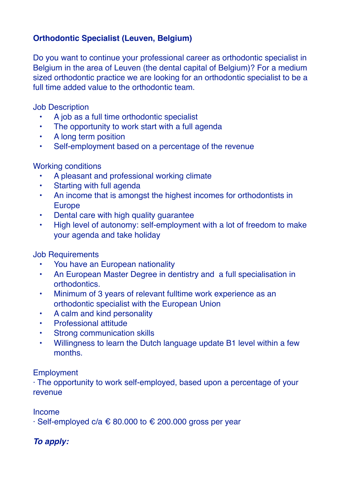# **Orthodontic Specialist (Leuven, Belgium)**

Do you want to continue your professional career as orthodontic specialist in Belgium in the area of Leuven (the dental capital of Belgium)? For a medium sized orthodontic practice we are looking for an orthodontic specialist to be a full time added value to the orthodontic team.

Job Description

- A job as a full time orthodontic specialist
- The opportunity to work start with a full agenda
- A long term position
- Self-employment based on a percentage of the revenue

### Working conditions

- A pleasant and professional working climate
- Starting with full agenda
- An income that is amongst the highest incomes for orthodontists in Europe
- Dental care with high quality guarantee
- High level of autonomy: self-employment with a lot of freedom to make your agenda and take holiday

### Job Requirements

- You have an European nationality
- An European Master Degree in dentistry and a full specialisation in orthodontics.
- Minimum of 3 years of relevant fulltime work experience as an orthodontic specialist with the European Union
- A calm and kind personality
- Professional attitude
- **Strong communication skills**
- Willingness to learn the Dutch language update B1 level within a few months.

#### Employment

· The opportunity to work self-employed, based upon a percentage of your revenue

Income

 $\cdot$  Self-employed c/a  $\epsilon$  80.000 to  $\epsilon$  200.000 gross per year

## *To apply:*